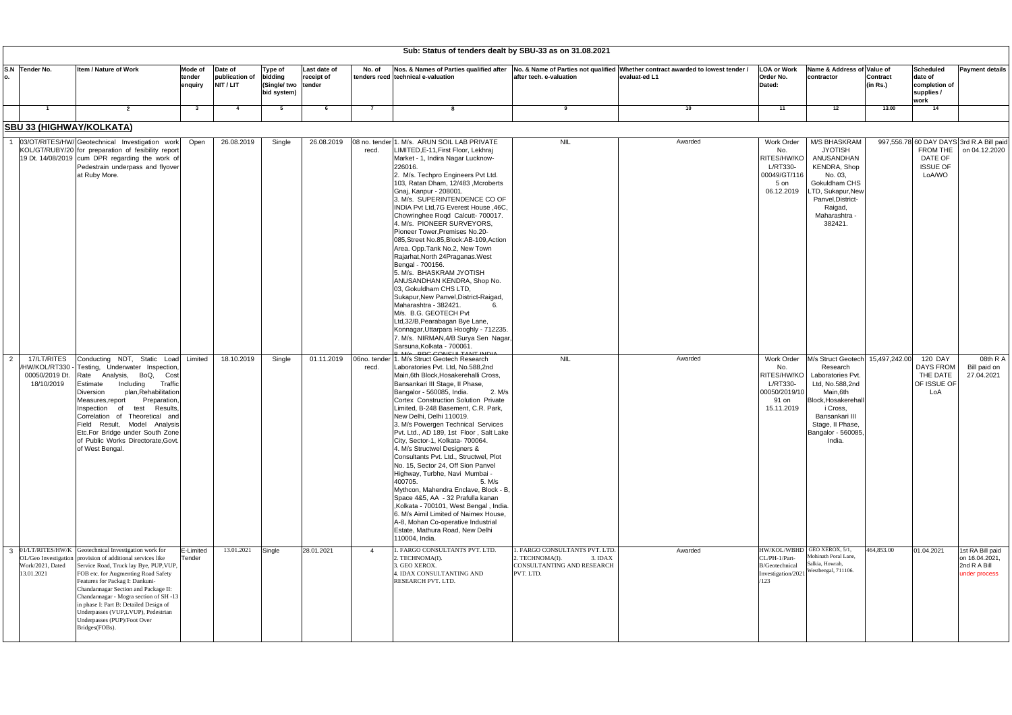| Sub: Status of tenders dealt by SBU-33 as on 31.08.2021 |                                                                |                                                                                                                                                                                                                                                                                                                                                                                                                                                                                    |                                        |                                                                 |                            |                                                                                                                                                                                                                                                                                                                                                                                                                                                                                                                                                                                                                                                                                                                                                                                                                                                                                                                           |                                                                                                        |                                                              |                                                                                           |                                                                                                                                                                                                          |                      |                                                                                  |                                                                     |
|---------------------------------------------------------|----------------------------------------------------------------|------------------------------------------------------------------------------------------------------------------------------------------------------------------------------------------------------------------------------------------------------------------------------------------------------------------------------------------------------------------------------------------------------------------------------------------------------------------------------------|----------------------------------------|-----------------------------------------------------------------|----------------------------|---------------------------------------------------------------------------------------------------------------------------------------------------------------------------------------------------------------------------------------------------------------------------------------------------------------------------------------------------------------------------------------------------------------------------------------------------------------------------------------------------------------------------------------------------------------------------------------------------------------------------------------------------------------------------------------------------------------------------------------------------------------------------------------------------------------------------------------------------------------------------------------------------------------------------|--------------------------------------------------------------------------------------------------------|--------------------------------------------------------------|-------------------------------------------------------------------------------------------|----------------------------------------------------------------------------------------------------------------------------------------------------------------------------------------------------------|----------------------|----------------------------------------------------------------------------------|---------------------------------------------------------------------|
|                                                         | S.N Tender No.                                                 | Item / Nature of Work<br>Mode of<br>tender<br>enquiry                                                                                                                                                                                                                                                                                                                                                                                                                              | Date of<br>publication of<br>NIT / LIT | <b>Type of</b><br>bidding<br>(Single/ two tender<br>bid system) | Last date of<br>receipt of | Nos. & Names of Parties qualified after No. & Name of Parties not qualified<br>No. of<br>tenders recd technical e-valuation                                                                                                                                                                                                                                                                                                                                                                                                                                                                                                                                                                                                                                                                                                                                                                                               | after tech. e-valuation                                                                                | Whether contract awarded to lowest tender /<br>evaluat-ed L1 | <b>LOA or Work</b><br>Order No.<br>Dated:                                                 | Name & Address of Value of<br>contractor                                                                                                                                                                 | Contract<br>(in Rs.) | <b>Scheduled</b><br>date of<br>completion of<br>supplies /<br>work               | <b>Payment details</b>                                              |
|                                                         | $\overline{1}$                                                 | $\overline{2}$                                                                                                                                                                                                                                                                                                                                                                                                                                                                     | -4                                     | - 5                                                             | -6                         |                                                                                                                                                                                                                                                                                                                                                                                                                                                                                                                                                                                                                                                                                                                                                                                                                                                                                                                           |                                                                                                        | 10                                                           | 11                                                                                        | 12                                                                                                                                                                                                       | 13.00                | 14                                                                               |                                                                     |
|                                                         |                                                                | <b>SBU 33 (HIGHWAY/KOLKATA)</b>                                                                                                                                                                                                                                                                                                                                                                                                                                                    |                                        |                                                                 |                            |                                                                                                                                                                                                                                                                                                                                                                                                                                                                                                                                                                                                                                                                                                                                                                                                                                                                                                                           |                                                                                                        |                                                              |                                                                                           |                                                                                                                                                                                                          |                      |                                                                                  |                                                                     |
|                                                         |                                                                | 03/OT/RITES/HW/ Geotechnical Investigation work<br>Open<br>KOL/GT/RUBY/20 for preparation of fesibility report<br>19 Dt. 14/08/2019 cum DPR regarding the work of<br>Pedestrain underpass and flyover<br>at Ruby More.                                                                                                                                                                                                                                                             | 26.08.2019                             | Single                                                          | 26.08.2019                 | . M/s. ARUN SOIL LAB PRIVATE<br>08 no. tender<br>LIMITED, E-11, First Floor, Lekhraj<br>recd.<br>Market - 1, Indira Nagar Lucknow-<br>226016.<br>2. M/s. Techpro Engineers Pvt Ltd.<br>103, Ratan Dham, 12/483, Mcroberts<br>Gnaj, Kanpur - 208001.<br>3. M/s. SUPERINTENDENCE CO OF<br>INDIA Pvt Ltd, 7G Everest House, 46C,<br>Chowringhee Roqd Calcutt- 700017.<br>4. M/s. PIONEER SURVEYORS,<br>Pioneer Tower, Premises No.20-<br>085, Street No.85, Block: AB-109, Action<br>Area. Opp.Tank No.2, New Town<br>Rajarhat, North 24Praganas. West<br>Bengal - 700156.<br>5. M/s. BHASKRAM JYOTISH<br>ANUSANDHAN KENDRA, Shop No.<br>03. Gokuldham CHS LTD,<br>Sukapur, New Panvel, District-Raigad,<br>Maharashtra - 382421.<br>M/s. B.G. GEOTECH Pvt<br>Ltd,32/B, Pearabagan Bye Lane,<br>Konnagar, Uttarpara Hooghly - 712235.<br>M/s. NIRMAN, 4/B Surya Sen Nagar,<br>Sarsuna.Kolkata - 700061.                      | <b>NIL</b>                                                                                             | Awarded                                                      | <b>Work Order</b><br>No.<br>RITES/HW/KO<br>L/RT330-<br>00049/GT/116<br>5 on<br>06.12.2019 | M/S BHASKRAM<br><b>JYOTISH</b><br>ANUSANDHAN<br><b>KENDRA, Shop</b><br>No. 03,<br>Gokuldham CHS<br>TD, Sukapur, New<br>Panvel, District-<br>Raigad,<br>Maharashtra -<br>382421.                          |                      | 997,556.78 60 DAY DAYS 3rd R.A Bill paid<br>DATE OF<br><b>ISSUE OF</b><br>LoA/WO | FROM THE on 04.12.2020                                              |
| 2                                                       | 17/LT/RITES<br>/HW/KOL/RT330 -<br>00050/2019 Dt.<br>18/10/2019 | Conducting NDT, Static Load Limited<br>Testing, Underwater Inspection<br>Rate Analysis, BoQ,<br>Cost<br>Including<br>Traffic<br>Estimate<br>plan, Rehabilitation<br>Diversion<br>Preparation<br>Measures, report<br>Results.<br>of<br>test<br>nspection<br>Correlation of Theoretical and<br>Field Result, Model Analysis<br>Etc.For Bridge under South Zone<br>of Public Works Directorate, Govt.<br>of West Bengal.                                                              | 18.10.2019                             | Single                                                          | 01.11.2019                 | M/ <sub>2</sub> BDC CONCLUTANT INDU<br>06no. tender<br>1. M/s Struct Geotech Research<br>Laboratories Pvt. Ltd, No.588,2nd<br>recd.<br>Main, 6th Block, Hosakerehalli Cross,<br>Bansankari III Stage, II Phase,<br>Bangalor - 560085, India.<br>2. M/s<br>Cortex Construction Solution Private<br>Limited, B-248 Basement, C.R. Park,<br>New Delhi, Delhi 110019.<br>3. M/s Powergen Technical Services<br>Pvt. Ltd., AD 189, 1st Floor, Salt Lake<br>City, Sector-1, Kolkata- 700064.<br>4. M/s Structwel Designers &<br>Consultants Pvt. Ltd., Structwel, Plot<br>No. 15, Sector 24, Off Sion Panvel<br>Highway, Turbhe, Navi Mumbai -<br>400705.<br>5. M/s<br>Mythcon, Mahendra Enclave, Block - B,<br>Space 4&5, AA - 32 Prafulla kanan<br>,Kolkata - 700101, West Bengal, India.<br>6. M/s Aimil Limited of Naimex House,<br>A-8, Mohan Co-operative Industrial<br>Estate, Mathura Road, New Delhi<br>110004, India. | <b>NIL</b>                                                                                             | Awarded                                                      | Work Order<br>No.<br>RITES/HW/KO<br>L/RT330-<br>00050/2019/10<br>91 on<br>15.11.2019      | M/s Struct Geotech 15,497,242.00<br>Research<br>Laboratories Pvt<br>Ltd, No.588,2nd<br>Main.6th<br>Block, Hosakerehall<br>i Cross,<br>Bansankari III<br>Stage, II Phase,<br>Bangalor - 560085,<br>India. |                      | 120 DAY<br><b>DAYS FROM</b><br>THE DATE<br>OF ISSUE OF<br>LoA                    | 08th R A<br>Bill paid on<br>27.04.2021                              |
|                                                         | Work/2021, Dated<br>13.01.2021                                 | 3 01/LT/RITES/HW/K Geotechnical Investigation work for<br>E-Limited<br>OL/Geo Investigation provision of additional services like<br>Tender<br>Service Road, Truck lay Bye, PUP, VUP,<br>FOB etc. for Augmenting Road Safety<br>Features for Packag I: Dankuni-<br>Chandannagar Section and Package II:<br>Chandannagar - Mogra section of SH -13<br>in phase I: Part B: Detailed Design of<br>Underpasses (VUP,LVUP), Pedestrian<br>Underpasses (PUP)/Foot Over<br>Bridges(FOBs). | 13.01.2021                             | Single                                                          | 28.01.2021                 | . FARGO CONSULTANTS PVT. LTD.<br>$\overline{4}$<br>2. TECHNOMA(I).<br>3. GEO XEROX.<br>4. IDAX CONSULTANTING AND<br>RESEARCH PVT. LTD.                                                                                                                                                                                                                                                                                                                                                                                                                                                                                                                                                                                                                                                                                                                                                                                    | 1. FARGO CONSULTANTS PVT. LTD<br>2. TECHNOMA(I).<br>3. IDAX<br>CONSULTANTING AND RESEARCH<br>PVT. LTD. | Awarded                                                      | CL/PH-1/Part-<br><b>B/Geotechnical</b><br>Investigation/2021<br>123                       | HW/KOL/WBHD GEO XEROX, 5/1,<br>Mohinath Poral Lane,<br>Salkia, Howrah,<br>Westbengal, 711106.                                                                                                            | 464,853.00           | 01.04.2021                                                                       | 1st RA Bill paid<br>on 16.04.2021,<br>2nd R A Bill<br>under process |